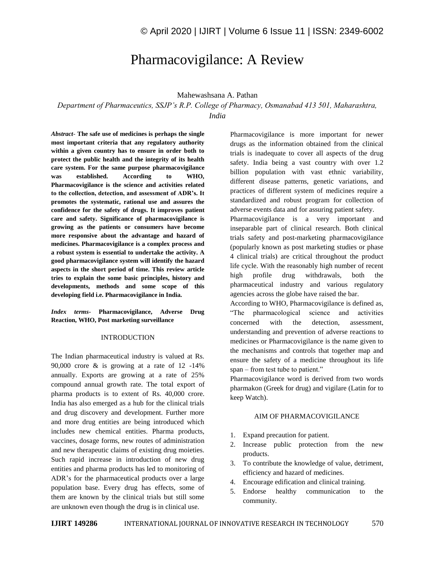# Pharmacovigilance: A Review

# Mahewashsana A. Pathan

*Department of Pharmaceutics, SSJP's R.P. College of Pharmacy, Osmanabad 413 501, Maharashtra, India*

*Abstract*- **The safe use of medicines is perhaps the single most important criteria that any regulatory authority within a given country has to ensure in order both to protect the public health and the integrity of its health care system. For the same purpose pharmacovigilance was established. According to WHO, Pharmacovigilance is the science and activities related to the collection, detection, and assessment of ADR's. It promotes the systematic, rational use and assures the confidence for the safety of drugs. It improves patient care and safety. Significance of pharmacovigilance is growing as the patients or consumers have become more responsive about the advantage and hazard of medicines. Pharmacovigilance is a complex process and a robust system is essential to undertake the activity. A good pharmacovigilance system will identify the hazard aspects in the short period of time. This review article tries to explain the some basic principles, history and developments, methods and some scope of this developing field i.e. Pharmacovigilance in India.**

## *Index terms***- Pharmacovigilance, Adverse Drug Reaction, WHO, Post marketing surveillance**

## INTRODUCTION

The Indian pharmaceutical industry is valued at Rs. 90,000 crore & is growing at a rate of 12 -14% annually. Exports are growing at a rate of 25% compound annual growth rate. The total export of pharma products is to extent of Rs. 40,000 crore. India has also emerged as a hub for the clinical trials and drug discovery and development. Further more and more drug entities are being introduced which includes new chemical entities. Pharma products, vaccines, dosage forms, new routes of administration and new therapeutic claims of existing drug moieties. Such rapid increase in introduction of new drug entities and pharma products has led to monitoring of ADR's for the pharmaceutical products over a large population base. Every drug has effects, some of them are known by the clinical trials but still some are unknown even though the drug is in clinical use.

Pharmacovigilance is more important for newer drugs as the information obtained from the clinical trials is inadequate to cover all aspects of the drug safety. India being a vast country with over 1.2 billion population with vast ethnic variability, different disease patterns, genetic variations, and practices of different system of medicines require a standardized and robust program for collection of adverse events data and for assuring patient safety. Pharmacovigilance is a very important and inseparable part of clinical research. Both clinical trials safety and post-marketing pharmacovigilance (popularly known as post marketing studies or phase 4 clinical trials) are critical throughout the product life cycle. With the reasonably high number of recent high profile drug withdrawals, both the pharmaceutical industry and various regulatory agencies across the globe have raised the bar.

According to WHO, Pharmacovigilance is defined as, "The pharmacological science and activities concerned with the detection, assessment, understanding and prevention of adverse reactions to medicines or Pharmacovigilance is the name given to the mechanisms and controls that together map and ensure the safety of a medicine throughout its life span – from test tube to patient."

Pharmacovigilance word is derived from two words pharmakon (Greek for drug) and vigilare (Latin for to keep Watch).

#### AIM OF PHARMACOVIGILANCE

- 1. Expand precaution for patient.
- 2. Increase public protection from the new products.
- 3. To contribute the knowledge of value, detriment, efficiency and hazard of medicines.
- 4. Encourage edification and clinical training.
- 5. Endorse healthy communication to the community.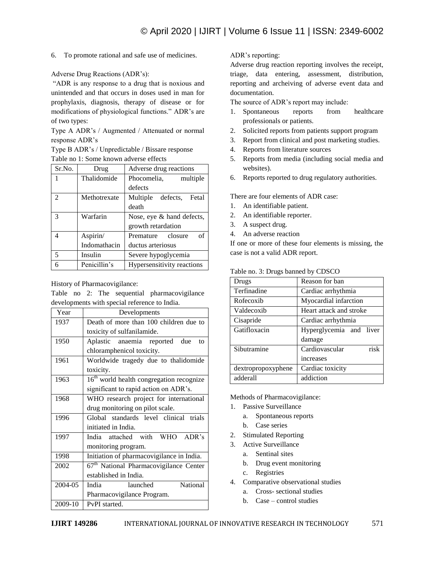6. To promote rational and safe use of medicines.

Adverse Drug Reactions (ADR's):

"ADR is any response to a drug that is noxious and unintended and that occurs in doses used in man for prophylaxis, diagnosis, therapy of disease or for modifications of physiological functions." ADR's are of two types:

Type A ADR's / Augmented / Attenuated or normal response ADR's

Type B ADR's / Unpredictable / Bissare response Table no 1: Some known adverse effects

| Sr.No.         | Drug         | Adverse drug reactions     |
|----------------|--------------|----------------------------|
|                | Thalidomide  | Phocomelia,<br>multiple    |
|                |              | defects                    |
| $\mathfrak{D}$ | Methotrexate | Multiple defects, Fetal    |
|                |              | death                      |
| 3              | Warfarin     | Nose, eye & hand defects,  |
|                |              | growth retardation         |
|                | Aspirin/     | of<br>closure<br>Premature |
|                | Indomathacin | ductus arteriosus          |
| 5              | Insulin      | Severe hypoglycemia        |
|                | Penicillin's | Hypersensitivity reactions |

History of Pharmacovigilance:

Table no 2: The sequential pharmacovigilance developments with special reference to India.

| Year    | Developments                                         |  |  |  |
|---------|------------------------------------------------------|--|--|--|
| 1937    | Death of more than 100 children due to               |  |  |  |
|         | toxicity of sulfanilamide.                           |  |  |  |
| 1950    | Aplastic anaemia reported due<br>to                  |  |  |  |
|         | chloramphenicol toxicity.                            |  |  |  |
| 1961    | Worldwide tragedy due to thalidomide                 |  |  |  |
|         | toxicity.                                            |  |  |  |
| 1963    | 16 <sup>th</sup> world health congregation recognize |  |  |  |
|         | significant to rapid action on ADR's.                |  |  |  |
| 1968    | WHO research project for international               |  |  |  |
|         | drug monitoring on pilot scale.                      |  |  |  |
| 1996    | Global standards level clinical trials               |  |  |  |
|         | initiated in India.                                  |  |  |  |
| 1997    | India attached with WHO ADR's                        |  |  |  |
|         | monitoring program.                                  |  |  |  |
| 1998    | Initiation of pharmacovigilance in India.            |  |  |  |
| 2002    | $67th$ National Pharmacovigilance Center             |  |  |  |
|         | established in India.                                |  |  |  |
| 2004-05 | National<br>India<br>launched                        |  |  |  |
|         | Pharmacovigilance Program.                           |  |  |  |
| 2009-10 | PvPI started.                                        |  |  |  |

ADR's reporting:

Adverse drug reaction reporting involves the receipt, triage, data entering, assessment, distribution, reporting and archeiving of adverse event data and documentation.

The source of ADR's report may include:

- 1. Spontaneous reports from healthcare professionals or patients.
- 2. Solicited reports from patients support program
- 3. Report from clinical and post marketing studies.
- 4. Reports from literature sources
- 5. Reports from media (including social media and websites).
- 6. Reports reported to drug regulatory authorities.

There are four elements of ADR case:

- 1. An identifiable patient.
- 2. An identifiable reporter.
- 3. A suspect drug.
- 4. An adverse reaction

If one or more of these four elements is missing, the case is not a valid ADR report.

| Table no. 3: Drugs banned by CDSCO |  |  |  |
|------------------------------------|--|--|--|
|                                    |  |  |  |

| Drugs              | Reason for ban          |  |  |  |  |
|--------------------|-------------------------|--|--|--|--|
| Terfinadine        | Cardiac arrhythmia      |  |  |  |  |
| Rofecoxib          | Myocardial infarction   |  |  |  |  |
| Valdecoxib         | Heart attack and stroke |  |  |  |  |
| Cisapride          | Cardiac arrhythmia      |  |  |  |  |
| Gatifloxacin       | Hyperglycemia and liver |  |  |  |  |
|                    | damage                  |  |  |  |  |
| Sibutramine        | risk<br>Cardiovascular  |  |  |  |  |
|                    | increases               |  |  |  |  |
| dextropropoxyphene | Cardiac toxicity        |  |  |  |  |
| adderall           | addiction               |  |  |  |  |

Methods of Pharmacovigilance:

- 1. Passive Surveillance
	- a. Spontaneous reports
	- b. Case series
- 2. Stimulated Reporting
- 3. Active Surveillance
	- a. Sentinal sites
		- b. Drug event monitoring
	- c. Registries
- 4. Comparative observational studies
	- a. Cross- sectional studies
	- b. Case control studies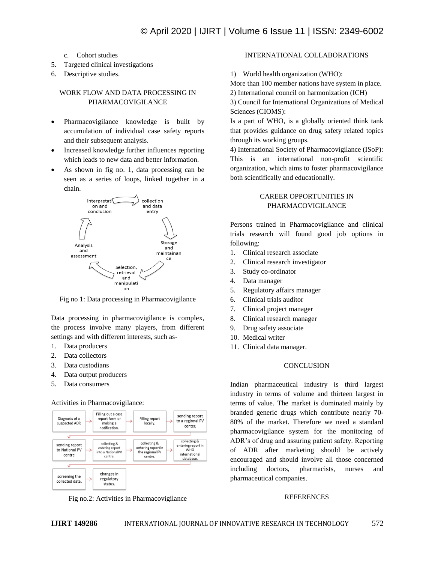- c. Cohort studies
- 5. Targeted clinical investigations
- 6. Descriptive studies.

# WORK FLOW AND DATA PROCESSING IN PHARMACOVIGILANCE

- Pharmacovigilance knowledge is built by accumulation of individual case safety reports and their subsequent analysis.
- Increased knowledge further influences reporting which leads to new data and better information.
- As shown in fig no. 1, data processing can be seen as a series of loops, linked together in a chain.



Fig no 1: Data processing in Pharmacovigilance

Data processing in pharmacovigilance is complex, the process involve many players, from different settings and with different interests, such as-

- 1. Data producers
- 2. Data collectors
- 3. Data custodians
- 4. Data output producers
- 5. Data consumers

### Activities in Pharmacovigilance:



Fig no.2: Activities in Pharmacovigilance

# INTERNATIONAL COLLABORATIONS

1) World health organization (WHO):

More than 100 member nations have system in place.

2) International council on harmonization (ICH)

3) Council for International Organizations of Medical Sciences (CIOMS):

Is a part of WHO, is a globally oriented think tank that provides guidance on drug safety related topics through its working groups.

4) International Society of Pharmacovigilance (ISoP): This is an international non-profit scientific organization, which aims to foster pharmacovigilance both scientifically and educationally.

# CAREER OPPORTUNITIES IN PHARMACOVIGILANCE

Persons trained in Pharmacovigilance and clinical trials research will found good job options in following:

- 1. Clinical research associate
- 2. Clinical research investigator
- 3. Study co-ordinator
- 4. Data manager
- 5. Regulatory affairs manager
- 6. Clinical trials auditor
- 7. Clinical project manager
- 8. Clinical research manager
- 9. Drug safety associate
- 10. Medical writer
- 11. Clinical data manager.

#### **CONCLUSION**

Indian pharmaceutical industry is third largest industry in terms of volume and thirteen largest in terms of value. The market is dominated mainly by branded generic drugs which contribute nearly 70- 80% of the market. Therefore we need a standard pharmacovigilance system for the monitoring of ADR's of drug and assuring patient safety. Reporting of ADR after marketing should be actively encouraged and should involve all those concerned including doctors, pharmacists, nurses and pharmaceutical companies.

#### REFERENCES